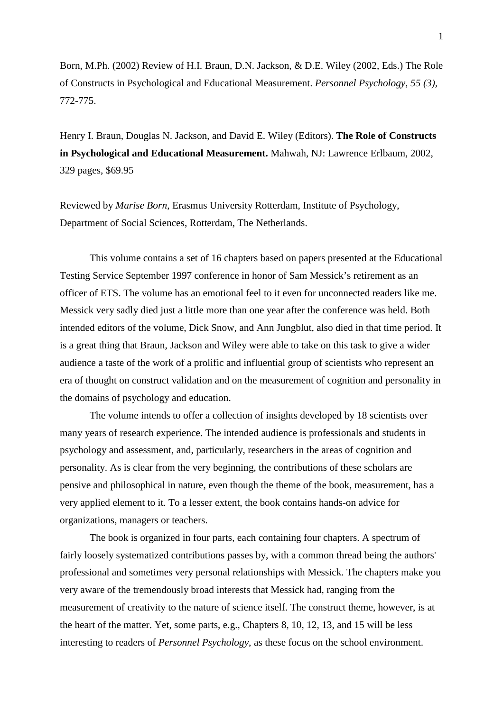Born, M.Ph. (2002) Review of H.I. Braun, D.N. Jackson, & D.E. Wiley (2002, Eds.) The Role of Constructs in Psychological and Educational Measurement. *Personnel Psychology, 55 (3),* 772-775.

Henry I. Braun, Douglas N. Jackson, and David E. Wiley (Editors). **The Role of Constructs in Psychological and Educational Measurement.** Mahwah, NJ: Lawrence Erlbaum, 2002, 329 pages, \$69.95

Reviewed by *Marise Born*, Erasmus University Rotterdam, Institute of Psychology, Department of Social Sciences, Rotterdam, The Netherlands.

This volume contains a set of 16 chapters based on papers presented at the Educational Testing Service September 1997 conference in honor of Sam Messick's retirement as an officer of ETS. The volume has an emotional feel to it even for unconnected readers like me. Messick very sadly died just a little more than one year after the conference was held. Both intended editors of the volume, Dick Snow, and Ann Jungblut, also died in that time period. It is a great thing that Braun, Jackson and Wiley were able to take on this task to give a wider audience a taste of the work of a prolific and influential group of scientists who represent an era of thought on construct validation and on the measurement of cognition and personality in the domains of psychology and education.

The volume intends to offer a collection of insights developed by 18 scientists over many years of research experience. The intended audience is professionals and students in psychology and assessment, and, particularly, researchers in the areas of cognition and personality. As is clear from the very beginning, the contributions of these scholars are pensive and philosophical in nature, even though the theme of the book, measurement, has a very applied element to it. To a lesser extent, the book contains hands-on advice for organizations, managers or teachers.

The book is organized in four parts, each containing four chapters. A spectrum of fairly loosely systematized contributions passes by, with a common thread being the authors' professional and sometimes very personal relationships with Messick. The chapters make you very aware of the tremendously broad interests that Messick had, ranging from the measurement of creativity to the nature of science itself. The construct theme, however, is at the heart of the matter. Yet, some parts, e.g., Chapters 8, 10, 12, 13, and 15 will be less interesting to readers of *Personnel Psychology*, as these focus on the school environment.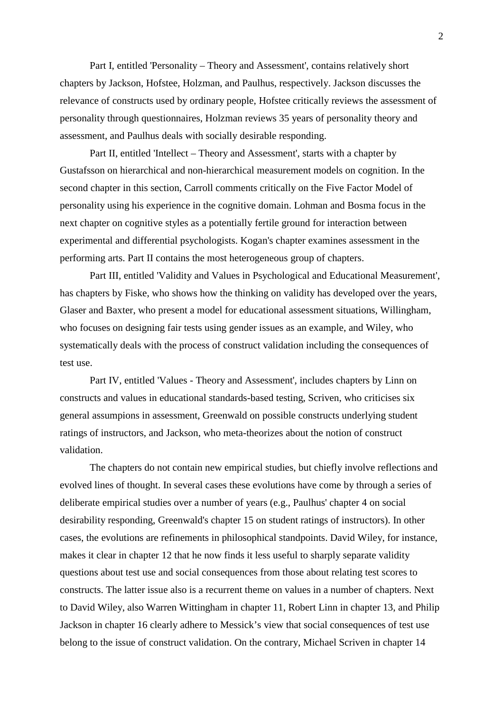Part I, entitled 'Personality – Theory and Assessment', contains relatively short chapters by Jackson, Hofstee, Holzman, and Paulhus, respectively. Jackson discusses the relevance of constructs used by ordinary people, Hofstee critically reviews the assessment of personality through questionnaires, Holzman reviews 35 years of personality theory and assessment, and Paulhus deals with socially desirable responding.

Part II, entitled 'Intellect – Theory and Assessment', starts with a chapter by Gustafsson on hierarchical and non-hierarchical measurement models on cognition. In the second chapter in this section, Carroll comments critically on the Five Factor Model of personality using his experience in the cognitive domain. Lohman and Bosma focus in the next chapter on cognitive styles as a potentially fertile ground for interaction between experimental and differential psychologists. Kogan's chapter examines assessment in the performing arts. Part II contains the most heterogeneous group of chapters.

Part III, entitled 'Validity and Values in Psychological and Educational Measurement', has chapters by Fiske, who shows how the thinking on validity has developed over the years, Glaser and Baxter, who present a model for educational assessment situations, Willingham, who focuses on designing fair tests using gender issues as an example, and Wiley, who systematically deals with the process of construct validation including the consequences of test use.

Part IV, entitled 'Values - Theory and Assessment', includes chapters by Linn on constructs and values in educational standards-based testing, Scriven, who criticises six general assumpions in assessment, Greenwald on possible constructs underlying student ratings of instructors, and Jackson, who meta-theorizes about the notion of construct validation.

The chapters do not contain new empirical studies, but chiefly involve reflections and evolved lines of thought. In several cases these evolutions have come by through a series of deliberate empirical studies over a number of years (e.g., Paulhus' chapter 4 on social desirability responding, Greenwald's chapter 15 on student ratings of instructors). In other cases, the evolutions are refinements in philosophical standpoints. David Wiley, for instance, makes it clear in chapter 12 that he now finds it less useful to sharply separate validity questions about test use and social consequences from those about relating test scores to constructs. The latter issue also is a recurrent theme on values in a number of chapters. Next to David Wiley, also Warren Wittingham in chapter 11, Robert Linn in chapter 13, and Philip Jackson in chapter 16 clearly adhere to Messick's view that social consequences of test use belong to the issue of construct validation. On the contrary, Michael Scriven in chapter 14